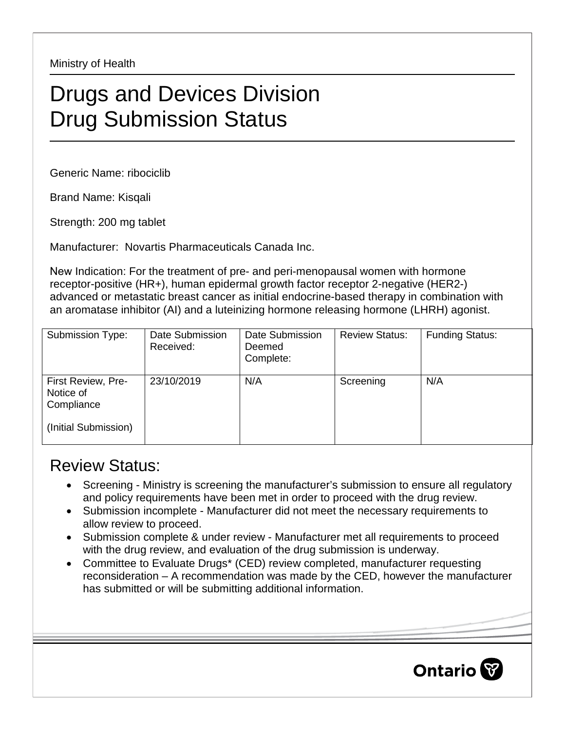Ministry of Health

## Drugs and Devices Division Drug Submission Status

Generic Name: ribociclib

Brand Name: Kisqali

Strength: 200 mg tablet

Manufacturer: Novartis Pharmaceuticals Canada Inc.

New Indication: For the treatment of pre- and peri-menopausal women with hormone receptor-positive (HR+), human epidermal growth factor receptor 2-negative (HER2-) advanced or metastatic breast cancer as initial endocrine-based therapy in combination with an aromatase inhibitor (AI) and a luteinizing hormone releasing hormone (LHRH) agonist.

| Submission Type:                                                      | Date Submission<br>Received: | Date Submission<br>Deemed<br>Complete: | <b>Review Status:</b> | <b>Funding Status:</b> |
|-----------------------------------------------------------------------|------------------------------|----------------------------------------|-----------------------|------------------------|
| First Review, Pre-<br>Notice of<br>Compliance<br>(Initial Submission) | 23/10/2019                   | N/A                                    | Screening             | N/A                    |

## Review Status:

- Screening Ministry is screening the manufacturer's submission to ensure all regulatory and policy requirements have been met in order to proceed with the drug review.
- Submission incomplete Manufacturer did not meet the necessary requirements to allow review to proceed.
- Submission complete & under review Manufacturer met all requirements to proceed with the drug review, and evaluation of the drug submission is underway.
- Committee to Evaluate Drugs\* (CED) review completed, manufacturer requesting reconsideration – A recommendation was made by the CED, however the manufacturer has submitted or will be submitting additional information.